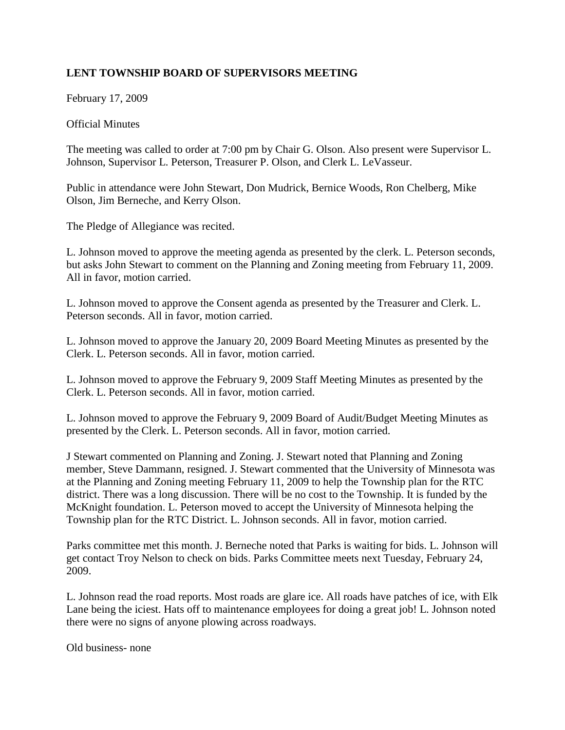## **LENT TOWNSHIP BOARD OF SUPERVISORS MEETING**

February 17, 2009

## Official Minutes

The meeting was called to order at 7:00 pm by Chair G. Olson. Also present were Supervisor L. Johnson, Supervisor L. Peterson, Treasurer P. Olson, and Clerk L. LeVasseur.

Public in attendance were John Stewart, Don Mudrick, Bernice Woods, Ron Chelberg, Mike Olson, Jim Berneche, and Kerry Olson.

The Pledge of Allegiance was recited.

L. Johnson moved to approve the meeting agenda as presented by the clerk. L. Peterson seconds, but asks John Stewart to comment on the Planning and Zoning meeting from February 11, 2009. All in favor, motion carried.

L. Johnson moved to approve the Consent agenda as presented by the Treasurer and Clerk. L. Peterson seconds. All in favor, motion carried.

L. Johnson moved to approve the January 20, 2009 Board Meeting Minutes as presented by the Clerk. L. Peterson seconds. All in favor, motion carried.

L. Johnson moved to approve the February 9, 2009 Staff Meeting Minutes as presented by the Clerk. L. Peterson seconds. All in favor, motion carried.

L. Johnson moved to approve the February 9, 2009 Board of Audit/Budget Meeting Minutes as presented by the Clerk. L. Peterson seconds. All in favor, motion carried.

J Stewart commented on Planning and Zoning. J. Stewart noted that Planning and Zoning member, Steve Dammann, resigned. J. Stewart commented that the University of Minnesota was at the Planning and Zoning meeting February 11, 2009 to help the Township plan for the RTC district. There was a long discussion. There will be no cost to the Township. It is funded by the McKnight foundation. L. Peterson moved to accept the University of Minnesota helping the Township plan for the RTC District. L. Johnson seconds. All in favor, motion carried.

Parks committee met this month. J. Berneche noted that Parks is waiting for bids. L. Johnson will get contact Troy Nelson to check on bids. Parks Committee meets next Tuesday, February 24, 2009.

L. Johnson read the road reports. Most roads are glare ice. All roads have patches of ice, with Elk Lane being the iciest. Hats off to maintenance employees for doing a great job! L. Johnson noted there were no signs of anyone plowing across roadways.

Old business- none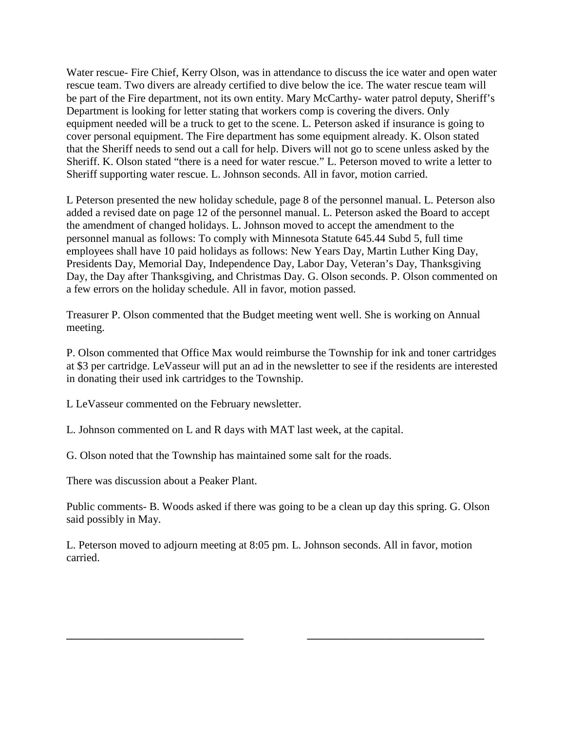Water rescue- Fire Chief, Kerry Olson, was in attendance to discuss the ice water and open water rescue team. Two divers are already certified to dive below the ice. The water rescue team will be part of the Fire department, not its own entity. Mary McCarthy- water patrol deputy, Sheriff's Department is looking for letter stating that workers comp is covering the divers. Only equipment needed will be a truck to get to the scene. L. Peterson asked if insurance is going to cover personal equipment. The Fire department has some equipment already. K. Olson stated that the Sheriff needs to send out a call for help. Divers will not go to scene unless asked by the Sheriff. K. Olson stated "there is a need for water rescue." L. Peterson moved to write a letter to Sheriff supporting water rescue. L. Johnson seconds. All in favor, motion carried.

L Peterson presented the new holiday schedule, page 8 of the personnel manual. L. Peterson also added a revised date on page 12 of the personnel manual. L. Peterson asked the Board to accept the amendment of changed holidays. L. Johnson moved to accept the amendment to the personnel manual as follows: To comply with Minnesota Statute 645.44 Subd 5, full time employees shall have 10 paid holidays as follows: New Years Day, Martin Luther King Day, Presidents Day, Memorial Day, Independence Day, Labor Day, Veteran's Day, Thanksgiving Day, the Day after Thanksgiving, and Christmas Day. G. Olson seconds. P. Olson commented on a few errors on the holiday schedule. All in favor, motion passed.

Treasurer P. Olson commented that the Budget meeting went well. She is working on Annual meeting.

P. Olson commented that Office Max would reimburse the Township for ink and toner cartridges at \$3 per cartridge. LeVasseur will put an ad in the newsletter to see if the residents are interested in donating their used ink cartridges to the Township.

L LeVasseur commented on the February newsletter.

L. Johnson commented on L and R days with MAT last week, at the capital.

G. Olson noted that the Township has maintained some salt for the roads.

There was discussion about a Peaker Plant.

Public comments- B. Woods asked if there was going to be a clean up day this spring. G. Olson said possibly in May.

L. Peterson moved to adjourn meeting at 8:05 pm. L. Johnson seconds. All in favor, motion carried.

**\_\_\_\_\_\_\_\_\_\_\_\_\_\_\_\_\_\_\_\_\_\_\_\_\_\_\_\_\_\_\_\_ \_\_\_\_\_\_\_\_\_\_\_\_\_\_\_\_\_\_\_\_\_\_\_\_\_\_\_\_\_\_\_\_**